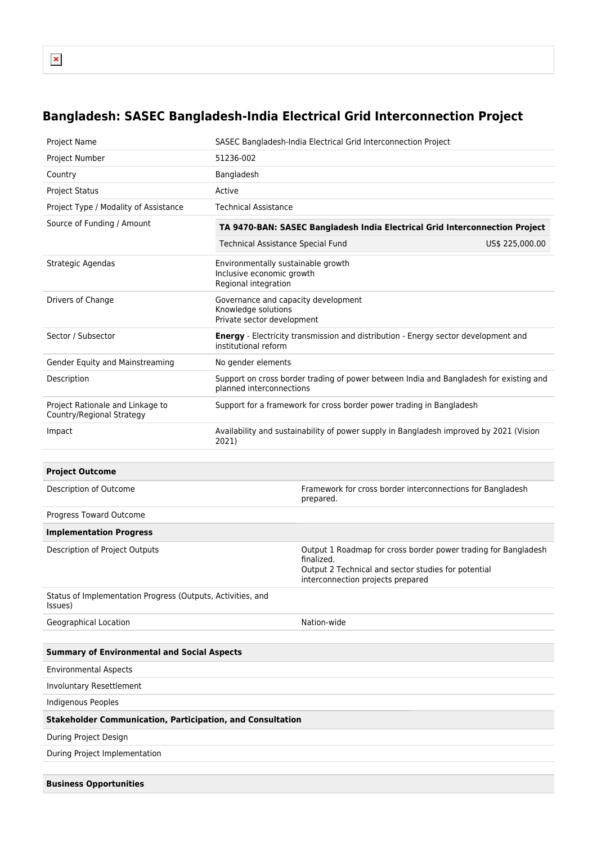## **Bangladesh: SASEC Bangladesh-India Electrical Grid Interconnection Project**

| Project Name                                                           |                                                                                                 | SASEC Bangladesh-India Electrical Grid Interconnection Project                                                                                                           |                 |  |  |
|------------------------------------------------------------------------|-------------------------------------------------------------------------------------------------|--------------------------------------------------------------------------------------------------------------------------------------------------------------------------|-----------------|--|--|
| Project Number                                                         | 51236-002                                                                                       |                                                                                                                                                                          |                 |  |  |
| Country                                                                | Bangladesh                                                                                      |                                                                                                                                                                          |                 |  |  |
| <b>Project Status</b>                                                  | Active                                                                                          |                                                                                                                                                                          |                 |  |  |
| Project Type / Modality of Assistance                                  | <b>Technical Assistance</b>                                                                     |                                                                                                                                                                          |                 |  |  |
| Source of Funding / Amount                                             | TA 9470-BAN: SASEC Bangladesh India Electrical Grid Interconnection Project                     |                                                                                                                                                                          |                 |  |  |
|                                                                        | Technical Assistance Special Fund                                                               |                                                                                                                                                                          | US\$ 225,000.00 |  |  |
| Strategic Agendas                                                      | Environmentally sustainable growth<br>Inclusive economic growth<br>Regional integration         |                                                                                                                                                                          |                 |  |  |
| Drivers of Change                                                      | Governance and capacity development<br>Knowledge solutions<br>Private sector development        |                                                                                                                                                                          |                 |  |  |
| Sector / Subsector                                                     | institutional reform                                                                            | <b>Energy</b> - Electricity transmission and distribution - Energy sector development and                                                                                |                 |  |  |
| Gender Equity and Mainstreaming                                        | No gender elements                                                                              |                                                                                                                                                                          |                 |  |  |
| Description                                                            | planned interconnections                                                                        | Support on cross border trading of power between India and Bangladesh for existing and                                                                                   |                 |  |  |
| Project Rationale and Linkage to<br>Country/Regional Strategy          | Support for a framework for cross border power trading in Bangladesh                            |                                                                                                                                                                          |                 |  |  |
| Impact                                                                 | Availability and sustainability of power supply in Bangladesh improved by 2021 (Vision<br>2021) |                                                                                                                                                                          |                 |  |  |
|                                                                        |                                                                                                 |                                                                                                                                                                          |                 |  |  |
| <b>Project Outcome</b>                                                 |                                                                                                 |                                                                                                                                                                          |                 |  |  |
| Description of Outcome                                                 |                                                                                                 | Framework for cross border interconnections for Bangladesh<br>prepared.                                                                                                  |                 |  |  |
| Progress Toward Outcome                                                |                                                                                                 |                                                                                                                                                                          |                 |  |  |
| <b>Implementation Progress</b>                                         |                                                                                                 |                                                                                                                                                                          |                 |  |  |
| Description of Project Outputs                                         |                                                                                                 | Output 1 Roadmap for cross border power trading for Bangladesh<br>finalized.<br>Output 2 Technical and sector studies for potential<br>interconnection projects prepared |                 |  |  |
| Status of Implementation Progress (Outputs, Activities, and<br>Issues) |                                                                                                 |                                                                                                                                                                          |                 |  |  |
| Geographical Location                                                  |                                                                                                 | Nation-wide                                                                                                                                                              |                 |  |  |
|                                                                        |                                                                                                 |                                                                                                                                                                          |                 |  |  |
| <b>Summary of Environmental and Social Aspects</b>                     |                                                                                                 |                                                                                                                                                                          |                 |  |  |
| <b>Environmental Aspects</b>                                           |                                                                                                 |                                                                                                                                                                          |                 |  |  |
| <b>Involuntary Resettlement</b>                                        |                                                                                                 |                                                                                                                                                                          |                 |  |  |
| Indigenous Peoples                                                     |                                                                                                 |                                                                                                                                                                          |                 |  |  |
| <b>Stakeholder Communication, Participation, and Consultation</b>      |                                                                                                 |                                                                                                                                                                          |                 |  |  |
| During Project Design                                                  |                                                                                                 |                                                                                                                                                                          |                 |  |  |
| During Project Implementation                                          |                                                                                                 |                                                                                                                                                                          |                 |  |  |
|                                                                        |                                                                                                 |                                                                                                                                                                          |                 |  |  |
| <b>Business Opportunities</b>                                          |                                                                                                 |                                                                                                                                                                          |                 |  |  |